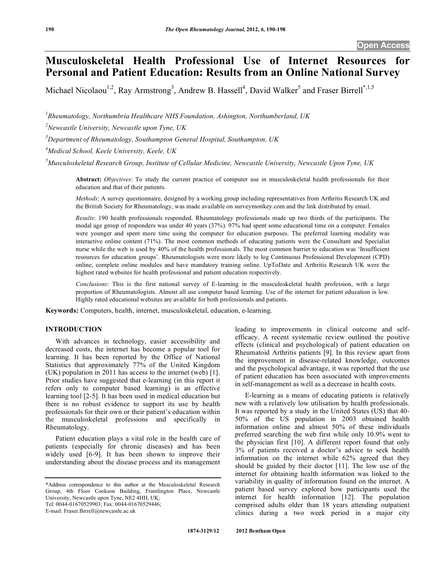# **Musculoskeletal Health Professional Use of Internet Resources for Personal and Patient Education: Results from an Online National Survey**

Michael Nicolaou<sup>1,2</sup>, Ray Armstrong<sup>3</sup>, Andrew B. Hassell<sup>4</sup>, David Walker<sup>5</sup> and Fraser Birrell<sup>\*,1,5</sup>

*1 Rheumatology, Northumbria Healthcare NHS Foundation, Ashington, Northumberland, UK* 

*2 Newcastle University, Newcastle upon Tyne, UK* 

*3 Department of Rheumatology, Southampton General Hospital, Southampton, UK* 

*4 Medical School, Keele University, Keele, UK* 

*5 Musculoskeletal Research Group, Institute of Cellular Medicine, Newcastle University, Newcastle Upon Tyne, UK* 

**Abstract:** *Objectives*: To study the current practice of computer use in musculoskeletal health professionals for their education and that of their patients.

*Methods*: A survey questionnaire, designed by a working group including representatives from Arthritis Research UK and the British Society for Rheumatology, was made available on surveymonkey.com and the link distributed by email.

*Results*: 190 health professionals responded. Rheumatology professionals made up two thirds of the participants. The modal age group of responders was under 40 years (37%). 97% had spent some educational time on a computer. Females were younger and spent more time using the computer for education purposes. The preferred learning modality was interactive online content (71%). The most common methods of educating patients were the Consultant and Specialist nurse while the web is used by 40% of the health professionals. The most common barrier to education was 'Insufficient resources for education groups'. Rheumatologists were more likely to log Continuous Professional Development (CPD) online, complete online modules and have mandatory training online. UpToDate and Arthritis Research UK were the highest rated websites for health professional and patient education respectively.

*Conclusions*: This is the first national survey of E-learning in the musculoskeletal health profession, with a large proportion of Rheumatologists. Almost all use computer based learning. Use of the internet for patient education is low. Highly rated educational websites are available for both professionals and patients.

**Keywords:** Computers, health, internet, musculoskeletal, education, e-learning.

# **INTRODUCTION**

 With advances in technology, easier accessibility and decreased costs, the internet has become a popular tool for learning. It has been reported by the Office of National Statistics that approximately 77% of the United Kingdom (UK) population in 2011 has access to the internet (web) [1]. Prior studies have suggested that e-learning (in this report it refers only to computer based learning) is an effective learning tool [2-5]. It has been used in medical education but there is no robust evidence to support its use by health professionals for their own or their patient's education within the musculoskeletal professions and specifically in Rheumatology.

 Patient education plays a vital role in the health care of patients (especially for chronic diseases) and has been widely used [6-9]. It has been shown to improve their understanding about the disease process and its management

Tel: 0044-01670529903; Fax: 0044-01670529446;

E-mail: Fraser.Birrell@newcastle.ac.uk

leading to improvements in clinical outcome and selfefficacy. A recent systematic review outlined the positive effects (clinical and psychological) of patient education on Rheumatoid Arthritis patients [9]. In this review apart from the improvement in disease-related knowledge, outcomes and the psychological advantage, it was reported that the use of patient education has been associated with improvements in self-management as well as a decrease in health costs.

 E-learning as a means of educating patients is relatively new with a relatively low utilisation by health professionals. It was reported by a study in the United States (US) that 40- 50% of the US population in 2003 obtained health information online and almost 50% of these individuals preferred searching the web first while only 10.9% went to the physician first [10]. A different report found that only 3% of patients received a doctor's advice to seek health information on the internet while 62% agreed that they should be guided by their doctor [11]. The low use of the internet for obtaining health information was linked to the variability in quality of information found on the internet. A patient based survey explored how participants used the internet for health information [12]. The population comprised adults older than 18 years attending outpatient clinics during a two week period in a major city

<sup>\*</sup>Address correspondence to this author at the Musculoskeletal Research Group, 4th Floor Cookson Building, Framlington Place, Newcastle University, Newcastle upon Tyne, NE2 4HH, UK;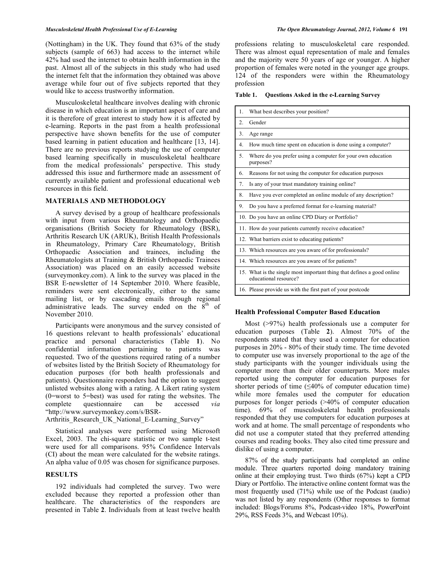#### *Musculoskeletal Health Professional Use of E-Learning The Open Rheumatology Journal, 2012, Volume 6* **191**

(Nottingham) in the UK. They found that 63% of the study subjects (sample of 663) had access to the internet while 42% had used the internet to obtain health information in the past. Almost all of the subjects in this study who had used the internet felt that the information they obtained was above average while four out of five subjects reported that they would like to access trustworthy information.

 Musculoskeletal healthcare involves dealing with chronic disease in which education is an important aspect of care and it is therefore of great interest to study how it is affected by e-learning. Reports in the past from a health professional perspective have shown benefits for the use of computer based learning in patient education and healthcare [13, 14]. There are no previous reports studying the use of computer based learning specifically in musculoskeletal healthcare from the medical professionals' perspective. This study addressed this issue and furthermore made an assessment of currently available patient and professional educational web resources in this field.

## **MATERIALS AND METHODOLOGY**

 A survey devised by a group of healthcare professionals with input from various Rheumatology and Orthopaedic organisations (British Society for Rheumatology (BSR), Arthritis Research UK (ARUK), British Health Professionals in Rheumatology, Primary Care Rheumatology, British Orthopaedic Association and trainees, including the Rheumatologists at Training & British Orthopaedic Trainees Association) was placed on an easily accessed website (surveymonkey.com). A link to the survey was placed in the BSR E-newsletter of 14 September 2010. Where feasible, reminders were sent electronically, either to the same mailing list, or by cascading emails through regional administrative leads. The survey ended on the  $8<sup>th</sup>$  of November 2010.

 Participants were anonymous and the survey consisted of 16 questions relevant to health professionals' educational practice and personal characteristics (Table **1**). No confidential information pertaining to patients was requested. Two of the questions required rating of a number of websites listed by the British Society of Rheumatology for education purposes (for both health professionals and patients). Questionnaire responders had the option to suggest unlisted websites along with a rating. A Likert rating system (0=worst to 5=best) was used for rating the websites. The complete questionnaire can be accessed *via* "http://www.surveymonkey.com/s/BSR-

Arthritis\_Research\_UK\_National\_E-Learning\_Survey"

 Statistical analyses were performed using Microsoft Excel, 2003. The chi-square statistic or two sample t-test were used for all comparisons. 95% Confidence Intervals (CI) about the mean were calculated for the website ratings. An alpha value of 0.05 was chosen for significance purposes.

#### **RESULTS**

 192 individuals had completed the survey. Two were excluded because they reported a profession other than healthcare. The characteristics of the responders are presented in Table **2**. Individuals from at least twelve health

professions relating to musculoskeletal care responded. There was almost equal representation of male and females and the majority were 50 years of age or younger. A higher proportion of females were noted in the younger age groups. 124 of the responders were within the Rheumatology profession

**Table 1. Questions Asked in the e-Learning Survey** 

| 1.               | What best describes your position?                                                              |
|------------------|-------------------------------------------------------------------------------------------------|
| $\mathfrak{2}$ . | Gender                                                                                          |
| 3.               | Age range                                                                                       |
| $4_{\cdot}$      | How much time spent on education is done using a computer?                                      |
| 5 <sub>1</sub>   | Where do you prefer using a computer for your own education<br>purposes?                        |
| 6.               | Reasons for not using the computer for education purposes                                       |
| 7.               | Is any of your trust mandatory training online?                                                 |
| 8.               | Have you ever completed an online module of any description?                                    |
| 9.               | Do you have a preferred format for e-learning material?                                         |
|                  | 10. Do you have an online CPD Diary or Portfolio?                                               |
|                  | 11. How do your patients currently receive education?                                           |
|                  | 12. What barriers exist to educating patients?                                                  |
|                  | 13. Which resources are you aware of for professionals?                                         |
|                  | 14. Which resources are you aware of for patients?                                              |
|                  | 15. What is the single most important thing that defines a good online<br>educational resource? |
|                  | 16. Please provide us with the first part of your postcode                                      |

#### **Health Professional Computer Based Education**

 Most (>97%) health professionals use a computer for education purposes (Table **2**). Almost 70% of the respondents stated that they used a computer for education purposes in 20% - 80% of their study time. The time devoted to computer use was inversely proportional to the age of the study participants with the younger individuals using the computer more than their older counterparts. More males reported using the computer for education purposes for shorter periods of time  $(\leq 40\%$  of computer education time) while more females used the computer for education purposes for longer periods (>40% of computer education time). 69% of musculoskeletal health professionals responded that they use computers for education purposes at work and at home. The small percentage of respondents who did not use a computer stated that they preferred attending courses and reading books. They also cited time pressure and dislike of using a computer.

 87% of the study participants had completed an online module. Three quarters reported doing mandatory training online at their employing trust. Two thirds (67%) kept a CPD Diary or Portfolio. The interactive online content format was the most frequently used (71%) while use of the Podcast (audio) was not listed by any respondents (Other responses to format included: Blogs/Forums 8%, Podcast-video 18%, PowerPoint 29%, RSS Feeds 3%, and Webcast 10%).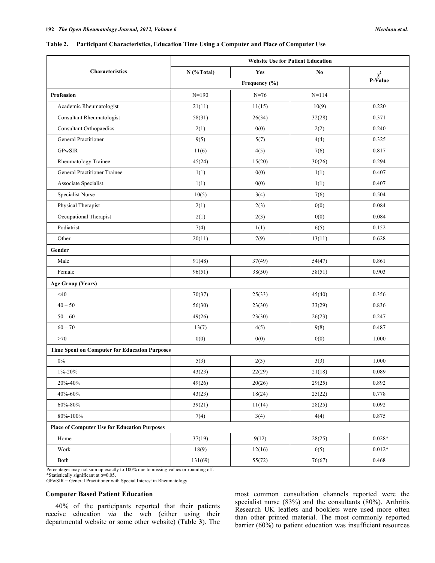#### **Table 2. Participant Characteristics, Education Time Using a Computer and Place of Computer Use**

|                                                      | <b>Website Use for Patient Education</b> |          |           |          |
|------------------------------------------------------|------------------------------------------|----------|-----------|----------|
| <b>Characteristics</b>                               | $N$ (%Total)                             | Yes      | No.       | $\chi^2$ |
|                                                      | Frequency (%)                            |          |           | P-Value  |
| Profession                                           | $N = 190$                                | $N = 76$ | $N = 114$ |          |
| Academic Rheumatologist                              | 21(11)                                   | 11(15)   | 10(9)     | 0.220    |
| Consultant Rheumatologist                            | 58(31)                                   | 26(34)   | 32(28)    | 0.371    |
| <b>Consultant Orthopaedics</b>                       | 2(1)                                     | 0(0)     | 2(2)      | 0.240    |
| <b>General Practitioner</b>                          | 9(5)                                     | 5(7)     | 4(4)      | 0.325    |
| <b>GPwSIR</b>                                        | 11(6)                                    | 4(5)     | 7(6)      | 0.817    |
| Rheumatology Trainee                                 | 45(24)                                   | 15(20)   | 30(26)    | 0.294    |
| General Practitioner Trainee                         | 1(1)                                     | 0(0)     | 1(1)      | 0.407    |
| Associate Specialist                                 | 1(1)                                     | 0(0)     | 1(1)      | 0.407    |
| Specialist Nurse                                     | 10(5)                                    | 3(4)     | 7(6)      | 0.504    |
| Physical Therapist                                   | 2(1)                                     | 2(3)     | 0(0)      | 0.084    |
| Occupational Therapist                               | 2(1)                                     | 2(3)     | 0(0)      | 0.084    |
| Podiatrist                                           | 7(4)                                     | 1(1)     | 6(5)      | 0.152    |
| Other                                                | 20(11)                                   | 7(9)     | 13(11)    | 0.628    |
| Gender                                               |                                          |          |           |          |
| Male                                                 | 91(48)                                   | 37(49)   | 54(47)    | 0.861    |
| Female                                               | 96(51)                                   | 38(50)   | 58(51)    | 0.903    |
| <b>Age Group (Years)</b>                             |                                          |          |           |          |
| <40                                                  | 70(37)                                   | 25(33)   | 45(40)    | 0.356    |
| $40 - 50$                                            | 56(30)                                   | 23(30)   | 33(29)    | 0.836    |
| $50 - 60$                                            | 49(26)                                   | 23(30)   | 26(23)    | 0.247    |
| $60 - 70$                                            | 13(7)                                    | 4(5)     | 9(8)      | 0.487    |
| >70                                                  | 0(0)                                     | 0(0)     | 0(0)      | 1.000    |
| <b>Time Spent on Computer for Education Purposes</b> |                                          |          |           |          |
| $0\%$                                                | 5(3)                                     | 2(3)     | 3(3)      | 1.000    |
| $1\% - 20\%$                                         | 43(23)                                   | 22(29)   | 21(18)    | 0.089    |
| 20%-40%                                              | 49(26)                                   | 20(26)   | 29(25)    | 0.892    |
| 40%-60%                                              | 43(23)                                   | 18(24)   | 25(22)    | 0.778    |
| 60%-80%                                              | 39(21)                                   | 11(14)   | 28(25)    | 0.092    |
| 80%-100%                                             | 7(4)                                     | 3(4)     | 4(4)      | 0.875    |
| <b>Place of Computer Use for Education Purposes</b>  |                                          |          |           |          |
| Home                                                 | 37(19)                                   | 9(12)    | 28(25)    | $0.028*$ |
| Work                                                 | 18(9)                                    | 12(16)   | 6(5)      | $0.012*$ |
| Both                                                 | 131(69)                                  | 55(72)   | 76(67)    | 0.468    |

Percentages may not sum up exactly to 100% due to missing values or rounding off.<br>\*Statistically significant at  $\alpha$ =0.05.

GPwSIR = General Practitioner with Special Interest in Rheumatology.

# **Computer Based Patient Education**

 40% of the participants reported that their patients receive education *via* the web (either using their departmental website or some other website) (Table **3**). The

most common consultation channels reported were the specialist nurse (83%) and the consultants (80%). Arthritis Research UK leaflets and booklets were used more often than other printed material. The most commonly reported barrier (60%) to patient education was insufficient resources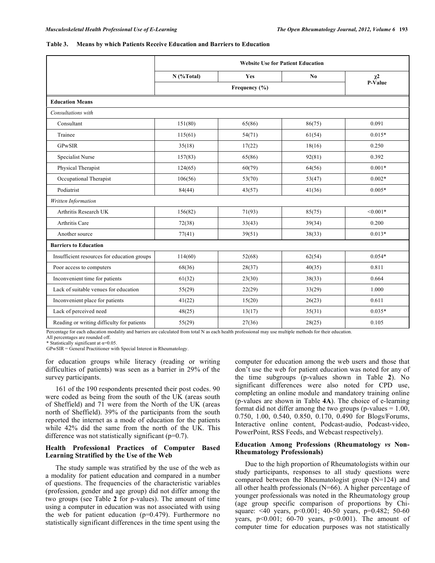#### **Table 3. Means by which Patients Receive Education and Barriers to Education**

|                                             | <b>Website Use for Patient Education</b> |        |                |                  |  |
|---------------------------------------------|------------------------------------------|--------|----------------|------------------|--|
|                                             | $N$ (%Total)                             | Yes    | N <sub>0</sub> | $\chi2$          |  |
|                                             | Frequency (%)                            |        |                | $P-\hat{V}$ alue |  |
| <b>Education Means</b>                      |                                          |        |                |                  |  |
| Consultations with                          |                                          |        |                |                  |  |
| Consultant                                  | 151(80)                                  | 65(86) | 86(75)         | 0.091            |  |
| Trainee                                     | 115(61)                                  | 54(71) | 61(54)         | $0.015*$         |  |
| <b>GPwSIR</b>                               | 35(18)                                   | 17(22) | 18(16)         | 0.250            |  |
| Specialist Nurse                            | 157(83)                                  | 65(86) | 92(81)         | 0.392            |  |
| Physical Therapist                          | 124(65)                                  | 60(79) | 64(56)         | $0.001*$         |  |
| Occupational Therapist                      | 106(56)                                  | 53(70) | 53(47)         | $0.002*$         |  |
| Podiatrist                                  | 84(44)                                   | 43(57) | 41(36)         | $0.005*$         |  |
| Written Information                         |                                          |        |                |                  |  |
| Arthritis Research UK                       | 156(82)                                  | 71(93) | 85(75)         | $< 0.001*$       |  |
| Arthritis Care                              | 72(38)                                   | 33(43) | 39(34)         | 0.200            |  |
| Another source                              | 77(41)                                   | 39(51) | 38(33)         | $0.013*$         |  |
| <b>Barriers to Education</b>                |                                          |        |                |                  |  |
| Insufficient resources for education groups | 114(60)                                  | 52(68) | 62(54)         | $0.054*$         |  |
| Poor access to computers                    | 68(36)                                   | 28(37) | 40(35)         | 0.811            |  |
| Inconvenient time for patients              | 61(32)                                   | 23(30) | 38(33)         | 0.664            |  |
| Lack of suitable venues for education       | 55(29)                                   | 22(29) | 33(29)         | 1.000            |  |
| Inconvenient place for patients             | 41(22)                                   | 15(20) | 26(23)         | 0.611            |  |
| Lack of perceived need                      | 48(25)                                   | 13(17) | 35(31)         | $0.035*$         |  |
| Reading or writing difficulty for patients  | 55(29)                                   | 27(36) | 28(25)         | 0.105            |  |

Percentage for each education modality and barriers are calculated from total N as each health professional may use multiple methods for their education.

All percentages are rounded off. \* Statistically significant at  $\alpha$ =0.05.

GPwSIR = General Practitioner with Special Interest in Rheumatology.

for education groups while literacy (reading or writing difficulties of patients) was seen as a barrier in 29% of the survey participants.

 161 of the 190 respondents presented their post codes. 90 were coded as being from the south of the UK (areas south of Sheffield) and 71 were from the North of the UK (areas north of Sheffield). 39% of the participants from the south reported the internet as a mode of education for the patients while 42% did the same from the north of the UK. This difference was not statistically significant ( $p=0.7$ ).

## **Health Professional Practices of Computer Based Learning Stratified by the Use of the Web**

 The study sample was stratified by the use of the web as a modality for patient education and compared in a number of questions. The frequencies of the characteristic variables (profession, gender and age group) did not differ among the two groups (see Table **2** for p-values). The amount of time using a computer in education was not associated with using the web for patient education  $(p=0.479)$ . Furthermore no statistically significant differences in the time spent using the

computer for education among the web users and those that don't use the web for patient education was noted for any of the time subgroups (p-values shown in Table **2**). No significant differences were also noted for CPD use, completing an online module and mandatory training online (p-values are shown in Table **4A**). The choice of e-learning format did not differ among the two groups (p-values  $= 1.00$ , 0.750, 1.00, 0.540, 0.850, 0.170, 0.490 for Blogs/Forums, Interactive online content, Podcast-audio, Podcast-video, PowerPoint, RSS Feeds, and Webcast respectively).

#### **Education Among Professions (Rheumatology** *vs* **Non-Rheumatology Professionals)**

 Due to the high proportion of Rheumatologists within our study participants, responses to all study questions were compared between the Rheumatologist group (N=124) and all other health professionals (N=66). A higher percentage of younger professionals was noted in the Rheumatology group (age group specific comparison of proportions by Chisquare: <40 years, p<0.001; 40-50 years, p=0.482; 50-60 years,  $p<0.001$ ; 60-70 years,  $p<0.001$ ). The amount of computer time for education purposes was not statistically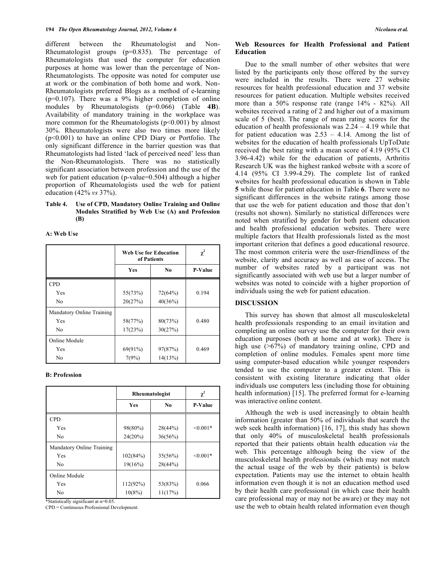different between the Rheumatologist and Non-Rheumatologist groups  $(p=0.835)$ . The percentage of Rheumatologists that used the computer for education purposes at home was lower than the percentage of Non-Rheumatologists. The opposite was noted for computer use at work or the combination of both home and work. Non-Rheumatologists preferred Blogs as a method of e-learning (p=0.107). There was a 9% higher completion of online modules by Rheumatologists (p=0.066) (Table **4B**). Availability of mandatory training in the workplace was more common for the Rheumatologists  $(p<0.001)$  by almost 30%. Rheumatologists were also two times more likely (p<0.001) to have an online CPD Diary or Portfolio. The only significant difference in the barrier question was that Rheumatologists had listed 'lack of perceived need' less than the Non-Rheumatologists. There was no statistically significant association between profession and the use of the web for patient education (p-value=0.504) although a higher proportion of Rheumatologists used the web for patient education (42% *vs* 37%).

## **Table 4. Use of CPD, Mandatory Online Training and Online Modules Stratified by Web Use (A) and Profession (B)**

#### **A: Web Use**

|                           | <b>Web Use for Education</b><br>of Patients |                | $\chi^2$       |
|---------------------------|---------------------------------------------|----------------|----------------|
|                           | Yes                                         | N <sub>0</sub> | <b>P-Value</b> |
| <b>CPD</b>                |                                             |                |                |
| Yes                       | 55(73%)                                     | 72(64%)        | 0.194          |
| No                        | 20(27%)                                     | 40(36%)        |                |
| Mandatory Online Training |                                             |                |                |
| Yes                       | 58(77%)                                     | 80(73%)        | 0.480          |
| No                        | 17(23%)                                     | 30(27%)        |                |
| Online Module             |                                             |                |                |
| Yes                       | 69(91%)                                     | 97(87%)        | 0.469          |
| N <sub>0</sub>            | 7(9%)                                       | 14(13%)        |                |

#### **B: Profession**

|                           | Rheumatologist | $\chi^2$       |                |
|---------------------------|----------------|----------------|----------------|
|                           | <b>Yes</b>     | N <sub>0</sub> | <b>P-Value</b> |
| <b>CPD</b>                |                |                |                |
| Yes                       | 98(80%)        | 28(44%)        | $< 0.001*$     |
| No                        | 24(20%)        | 36(56%)        |                |
| Mandatory Online Training |                |                |                |
| Yes                       | 102(84%)       | 35(56%)        | $< 0.001*$     |
| No                        | 19(16%)        | 28(44%)        |                |
| Online Module             |                |                |                |
| Yes                       | 112(92%)       | 53(83%)        | 0.066          |
| N <sub>0</sub>            | 10(8%)         | 11(17%)        |                |

\*Statistically significant at  $\alpha$ =0.05.

CPD = Continuous Professional Development.

## **Web Resources for Health Professional and Patient Education**

 Due to the small number of other websites that were listed by the participants only those offered by the survey were included in the results. There were 27 website resources for health professional education and 37 website resources for patient education. Multiple websites received more than a 50% response rate (range 14% - 82%). All websites received a rating of 2 and higher out of a maximum scale of 5 (best). The range of mean rating scores for the education of health professionals was 2.24 – 4.19 while that for patient education was  $2.53 - 4.14$ . Among the list of websites for the education of health professionals UpToDate received the best rating with a mean score of 4.19 (95% CI 3.96-4.42) while for the education of patients, Arthritis Research UK was the highest ranked website with a score of 4.14 (95% CI 3.99-4.29). The complete list of ranked websites for health professional education is shown in Table **5** while those for patient education in Table **6**. There were no significant differences in the website ratings among those that use the web for patient education and those that don't (results not shown). Similarly no statistical differences were noted when stratified by gender for both patient education and health professional education websites. There were multiple factors that Health professionals listed as the most important criterion that defines a good educational resource. The most common criteria were the user-friendliness of the website, clarity and accuracy as well as ease of access. The number of websites rated by a participant was not significantly associated with web use but a larger number of websites was noted to coincide with a higher proportion of individuals using the web for patient education.

## **DISCUSSION**

 This survey has shown that almost all musculoskeletal health professionals responding to an email invitation and completing an online survey use the computer for their own education purposes (both at home and at work). There is high use ( $>67\%$ ) of mandatory training online, CPD and completion of online modules. Females spent more time using computer-based education while younger responders tended to use the computer to a greater extent. This is consistent with existing literature indicating that older individuals use computers less (including those for obtaining health information) [15]. The preferred format for e-learning was interactive online content.

 Although the web is used increasingly to obtain health information (greater than 50% of individuals that search the web seek health information) [16, 17], this study has shown that only 40% of musculoskeletal health professionals reported that their patients obtain health education *via* the web. This percentage although being the view of the musculoskeletal health professionals (which may not match the actual usage of the web by their patients) is below expectation. Patients may use the internet to obtain health information even though it is not an education method used by their health care professional (in which case their health care professional may or may not be aware) or they may not use the web to obtain health related information even though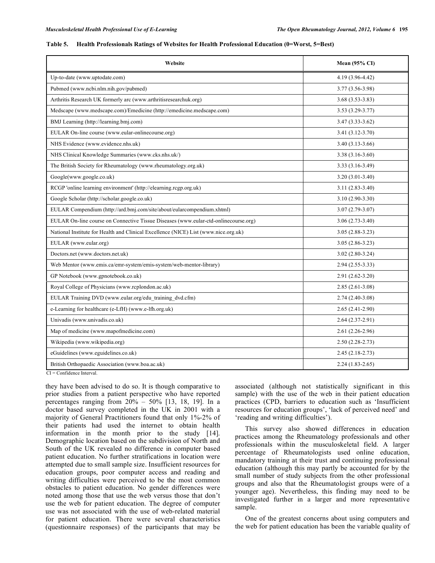| Website                                                                             | <b>Mean (95% CI)</b> |
|-------------------------------------------------------------------------------------|----------------------|
| Up-to-date (www.uptodate.com)                                                       | 4.19 (3.96-4.42)     |
| Pubmed (www.ncbi.nlm.nih.gov/pubmed)                                                | 3.77 (3.56-3.98)     |
| Arthritis Research UK formerly arc (www.arthritisresearchuk.org)                    | $3.68(3.53 - 3.83)$  |
| Medscape (www.medscape.com)/Emedicine (http://emedicine.medscape.com)               | $3.53(3.29 - 3.77)$  |
| BMJ Learning (http://learning.bmj.com)                                              | $3.47(3.33 - 3.62)$  |
| EULAR On-line course (www.eular-onlinecourse.org)                                   | $3.41(3.12 - 3.70)$  |
| NHS Evidence (www.evidence.nhs.uk)                                                  | $3.40(3.13-3.66)$    |
| NHS Clinical Knowledge Summaries (www.cks.nhs.uk/)                                  | $3.38(3.16-3.60)$    |
| The British Society for Rheumatology (www.rheumatology.org.uk)                      | 3.33 (3.16-3.49)     |
| Google(www.google.co.uk)                                                            | $3.20(3.01-3.40)$    |
| RCGP 'online learning environment' (http://elearning.rcgp.org.uk)                   | $3.11(2.83-3.40)$    |
| Google Scholar (http://scholar.google.co.uk)                                        | $3.10(2.90-3.30)$    |
| EULAR Compendium (http://ard.bmj.com/site/about/eularcompendium.xhtml)              | $3.07(2.79-3.07)$    |
| EULAR On-line course on Connective Tissue Diseases (www.eular-ctd-onlinecourse.org) | $3.06(2.73-3.40)$    |
| National Institute for Health and Clinical Excellence (NICE) List (www.nice.org.uk) | $3.05(2.88-3.23)$    |
| EULAR (www.eular.org)                                                               | $3.05(2.86-3.23)$    |
| Doctors.net (www.doctors.net.uk)                                                    | $3.02(2.80-3.24)$    |
| Web Mentor (www.emis.ca/emr-system/emis-system/web-mentor-library)                  | $2.94(2.55-3.33)$    |
| GP Notebook (www.gpnotebook.co.uk)                                                  | $2.91(2.62 - 3.20)$  |
| Royal College of Physicians (www.rcplondon.ac.uk)                                   | $2.85(2.61-3.08)$    |
| EULAR Training DVD (www.eular.org/edu training dvd.cfm)                             | $2.74(2.40-3.08)$    |
| e-Learning for healthcare (e-LfH) (www.e-lfh.org.uk)                                | $2.65(2.41-2.90)$    |
| Univadis (www.univadis.co.uk)                                                       | $2.64(2.37-2.91)$    |
| Map of medicine (www.mapofmedicine.com)                                             | $2.61(2.26-2.96)$    |
| Wikipedia (www.wikipedia.org)                                                       | $2.50(2.28-2.73)$    |
| eGuidelines (www.eguidelines.co.uk)                                                 | $2.45(2.18-2.73)$    |
| British Orthopaedic Association (www.boa.ac.uk)                                     | $2.24(1.83-2.65)$    |

| Table 5. Health Professionals Ratings of Websites for Health Professional Education (0=Worst, 5=Best) |  |
|-------------------------------------------------------------------------------------------------------|--|
|                                                                                                       |  |

CI = Confidence Interval.

they have been advised to do so. It is though comparative to prior studies from a patient perspective who have reported percentages ranging from  $20\% - 50\%$  [13, 18, 19]. In a doctor based survey completed in the UK in 2001 with a majority of General Practitioners found that only 1%-2% of their patients had used the internet to obtain health information in the month prior to the study [14]. Demographic location based on the subdivision of North and South of the UK revealed no difference in computer based patient education. No further stratifications in location were attempted due to small sample size. Insufficient resources for education groups, poor computer access and reading and writing difficulties were perceived to be the most common obstacles to patient education. No gender differences were noted among those that use the web versus those that don't use the web for patient education. The degree of computer use was not associated with the use of web-related material for patient education. There were several characteristics (questionnaire responses) of the participants that may be

associated (although not statistically significant in this sample) with the use of the web in their patient education practices (CPD, barriers to education such as 'Insufficient resources for education groups', 'lack of perceived need' and 'reading and writing difficulties').

 This survey also showed differences in education practices among the Rheumatology professionals and other professionals within the musculoskeletal field. A larger percentage of Rheumatologists used online education, mandatory training at their trust and continuing professional education (although this may partly be accounted for by the small number of study subjects from the other professional groups and also that the Rheumatologist groups were of a younger age). Nevertheless, this finding may need to be investigated further in a larger and more representative sample.

 One of the greatest concerns about using computers and the web for patient education has been the variable quality of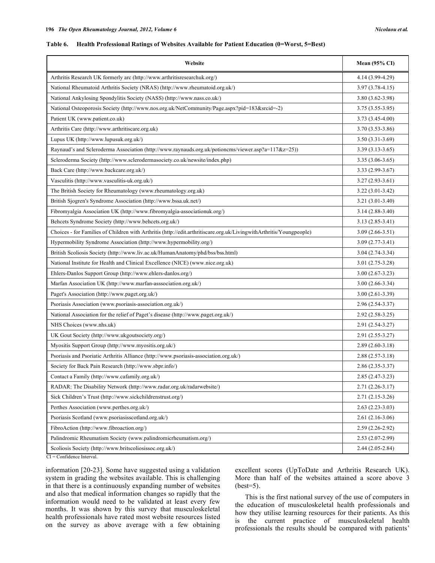#### **Table 6. Health Professional Ratings of Websites Available for Patient Education (0=Worst, 5=Best)**

| Website                                                                                                              | <b>Mean (95% CI)</b> |
|----------------------------------------------------------------------------------------------------------------------|----------------------|
| Arthritis Research UK formerly arc (http://www.arthritisresearchuk.org/)                                             | 4.14 (3.99-4.29)     |
| National Rheumatoid Arthritis Society (NRAS) (http://www.rheumatoid.org.uk/)                                         | $3.97(3.78 - 4.15)$  |
| National Ankylosing Spondylitis Society (NASS) (http://www.nass.co.uk/)                                              | $3.80(3.62 - 3.98)$  |
| National Osteoporosis Society (http://www.nos.org.uk/NetCommunity/Page.aspx?pid=183&srcid=-2)                        | $3.75(3.55-3.95)$    |
| Patient UK (www.patient.co.uk)                                                                                       | $3.73(3.45-4.00)$    |
| Arthritis Care (http://www.arthritiscare.org.uk)                                                                     | $3.70(3.53 - 3.86)$  |
| Lupus UK (http://www.lupusuk.org.uk/)                                                                                | $3.50(3.31-3.69)$    |
| Raynaud's and Scleroderma Association (http://www.raynauds.org.uk/potioncms/viewer.asp?a=117&z=25))                  | $3.39(3.13-3.65)$    |
| Scleroderma Society (http://www.sclerodermasociety.co.uk/newsite/index.php)                                          | $3.35(3.06-3.65)$    |
| Back Care (http://www.backcare.org.uk/)                                                                              | $3.33(2.99-3.67)$    |
| Vasculitis (http://www.vasculitis-uk.org.uk/)                                                                        | $3.27(2.93-3.61)$    |
| The British Society for Rheumatology (www.rheumatology.org.uk)                                                       | $3.22(3.01-3.42)$    |
| British Sjogren's Syndrome Association (http://www.bssa.uk.net/)                                                     | $3.21(3.01-3.40)$    |
| Fibromyalgia Association UK (http://www.fibromyalgia-associationuk.org/)                                             | $3.14(2.88-3.40)$    |
| Behcets Syndrome Society (http://www.behcets.org.uk/)                                                                | $3.13(2.85-3.41)$    |
| Choices - for Families of Children with Arthritis (http://edit.arthritiscare.org.uk/LivingwithArthritis/Youngpeople) | $3.09(2.66 - 3.51)$  |
| Hypermobility Syndrome Association (http://www.hypermobility.org/)                                                   | $3.09(2.77-3.41)$    |
| British Scoliosis Society (http://www.liv.ac.uk/HumanAnatomy/phd/bss/bss.html)                                       | $3.04(2.74-3.34)$    |
| National Institute for Health and Clinical Excellence (NICE) (www.nice.org.uk)                                       | $3.01(2.75-3.28)$    |
| Ehlers-Danlos Support Group (http://www.ehlers-danlos.org/)                                                          | $3.00(2.67 - 3.23)$  |
| Marfan Association UK (http://www.marfan-asssociation.org.uk/)                                                       | 3.00 (2.66-3.34)     |
| Paget's Association (http://www.paget.org.uk/)                                                                       | $3.00(2.61-3.39)$    |
| Psoriasis Association (www.psoriasis-association.org.uk/)                                                            | 2.96 (2.54-3.37)     |
| National Association for the relief of Paget's disease (http://www.paget.org.uk/)                                    | $2.92(2.58-3.25)$    |
| NHS Choices (www.nhs.uk)                                                                                             | 2.91 (2.54-3.27)     |
| UK Gout Society (http://www.ukgoutsociety.org/)                                                                      | 2.91 (2.55-3.27)     |
| Myositis Support Group (http://www.myositis.org.uk/)                                                                 | $2.89(2.60-3.18)$    |
| Psoriasis and Psoriatic Arthritis Alliance (http://www.psoriasis-association.org.uk/)                                | $2.88(2.57-3.18)$    |
| Society for Back Pain Research (http://www.sbpr.info/)                                                               | 2.86 (2.35-3.37)     |
| Contact a Family (http://www.cafamily.org.uk/)                                                                       | 2.85 (2.47-3.23)     |
| RADAR: The Disability Network (http://www.radar.org.uk/radarwebsite/)                                                | $2.71(2.26 - 3.17)$  |
| Sick Children's Trust (http://www.sickchildrenstrust.org/)                                                           | $2.71(2.15-3.26)$    |
| Perthes Association (www.perthes.org.uk/)                                                                            | $2.63(2.23-3.03)$    |
| Psoriasis Scotland (www.psoriasisscotland.org.uk/)                                                                   | $2.61(2.16-3.06)$    |
| FibroAction (http://www.fibroaction.org/)                                                                            | $2.59(2.26-2.92)$    |
| Palindromic Rheumatism Society (www.palindromicrheumatism.org/)                                                      | $2.53(2.07-2.99)$    |
| Scoliosis Society (http://www.britscoliosissoc.org.uk/)<br>$CI = Confidence Interval$                                | $2.44(2.05-2.84)$    |

CI = Confidence Interval.

information [20-23]. Some have suggested using a validation system in grading the websites available. This is challenging in that there is a continuously expanding number of websites and also that medical information changes so rapidly that the information would need to be validated at least every few months. It was shown by this survey that musculoskeletal health professionals have rated most website resources listed on the survey as above average with a few obtaining

excellent scores (UpToDate and Arthritis Research UK). More than half of the websites attained a score above 3 (best=5).

 This is the first national survey of the use of computers in the education of musculoskeletal health professionals and how they utilise learning resources for their patients. As this is the current practice of musculoskeletal health professionals the results should be compared with patients'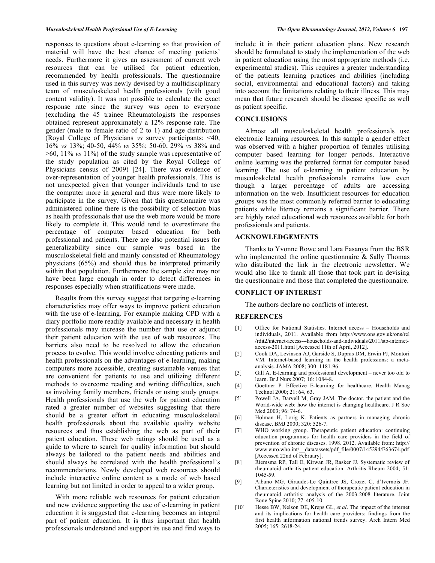responses to questions about e-learning so that provision of material will have the best chance of meeting patients' needs. Furthermore it gives an assessment of current web resources that can be utilised for patient education, recommended by health professionals. The questionnaire used in this survey was newly devised by a multidisciplinary team of musculoskeletal health professionals (with good content validity). It was not possible to calculate the exact response rate since the survey was open to everyone (excluding the 45 trainee Rheumatologists the responses obtained represent approximately a 12% response rate. The gender (male to female ratio of 2 to 1) and age distribution (Royal College of Physicians *vs* survey participants: <40, 16% *vs* 13%; 40-50, 44% *vs* 35%; 50-60, 29% *vs* 38% and >60, 11% *vs* 11%) of the study sample was representative of the study population as cited by the Royal College of Physicians census of 2009) [24]. There was evidence of over-representation of younger health professionals. This is not unexpected given that younger individuals tend to use the computer more in general and thus were more likely to participate in the survey. Given that this questionnaire was administered online there is the possibility of selection bias as health professionals that use the web more would be more likely to complete it. This would tend to overestimate the percentage of computer based education for both professional and patients. There are also potential issues for generalizability since our sample was based in the musculoskeletal field and mainly consisted of Rheumatology physicians (65%) and should thus be interpreted primarily within that population. Furthermore the sample size may not have been large enough in order to detect differences in responses especially when stratifications were made.

 Results from this survey suggest that targeting e-learning characteristics may offer ways to improve patient education with the use of e-learning. For example making CPD with a diary portfolio more readily available and necessary in health professionals may increase the number that use or adjunct their patient education with the use of web resources. The barriers also need to be resolved to allow the education process to evolve. This would involve educating patients and health professionals on the advantages of e-learning, making computers more accessible, creating sustainable venues that are convenient for patients to use and utilizing different methods to overcome reading and writing difficulties, such as involving family members, friends or using study groups. Health professionals that use the web for patient education rated a greater number of websites suggesting that there should be a greater effort in educating musculoskeletal health professionals about the available quality website resources and thus establishing the web as part of their patient education. These web ratings should be used as a guide to where to search for quality information but should always be tailored to the patient needs and abilities and should always be correlated with the health professional's recommendations. Newly developed web resources should include interactive online content as a mode of web based learning but not limited in order to appeal to a wider group.

 With more reliable web resources for patient education and new evidence supporting the use of e-learning in patient education it is suggested that e-learning becomes an integral part of patient education. It is thus important that health professionals understand and support its use and find ways to

include it in their patient education plans. New research should be formulated to study the implementation of the web in patient education using the most appropriate methods (i.e. experimental studies). This requires a greater understanding of the patients learning practices and abilities (including social, environmental and educational factors) and taking into account the limitations relating to their illness. This may mean that future research should be disease specific as well as patient specific.

## **CONCLUSIONS**

 Almost all musculoskeletal health professionals use electronic learning resources. In this sample a gender effect was observed with a higher proportion of females utilising computer based learning for longer periods. Interactive online learning was the preferred format for computer based learning. The use of e-learning in patient education by musculoskeletal health professionals remains low even though a larger percentage of adults are accessing information on the web. Insufficient resources for education groups was the most commonly referred barrier to educating patients while literacy remains a significant barrier. There are highly rated educational web resources available for both professionals and patients.

## **ACKNOWLEDGEMENTS**

 Thanks to Yvonne Rowe and Lara Fasanya from the BSR who implemented the online questionnaire & Sally Thomas who distributed the link in the electronic newsletter. We would also like to thank all those that took part in devising the questionnaire and those that completed the questionnaire.

# **CONFLICT OF INTEREST**

The authors declare no conflicts of interest.

#### **REFERENCES**

- [1] Office for National Statistics. Internet access Households and individuals, 2011. Available from http://www.ons.gov.uk/ons/rel /rdit2/internet-access---households-and-individuals/2011/stb-internetaccess-2011.html [Accessed 11th of April, 2012].
- [2] Cook DA, Levinson AJ, Garside S, Dupras DM, Erwin PJ, Montori VM. Internet-based learning in the health professions: a metaanalysis. JAMA 2008; 300: 1181-96.
- [3] Gill A. E-learning and professional development never too old to learn. Br J Nurs 2007; 16: 1084-8.
- [4] Goettner P. Effective E-learning for healthcare. Health Manag Technol 2000; 21: 64, 63.
- [5] Powell JA, Darvell M, Gray JAM. The doctor, the patient and the World-wide web: how the internet is changing healthcare. J R Soc Med 2003; 96: 74-6.
- [6] Holman H, Lorig K. Patients as partners in managing chronic disease. BMJ 2000; 320: 526-7.
- [7] WHO working group. Therapeutic patient education: continuing education programmes for health care providers in the field of prevention of chronic diseases. 1998. 2012. Available from: http:// www.euro.who.int/\_\_data/assets/pdf\_file/0007/145294/E63674.pdf [Accessed 22nd of February].
- [8] Riemsma RP, Tall E, Kirwan JR, Rasker JJ. Systematic review of rheumatoid arthritis patient education. Arthritis Rheum 2004; 51: 1045-59.
- [9] Albano MG, Giraudet-Le Quintrec JS, Crozet C, d'Ivernois JF. Characteristics and development of therapeutic patient education in rheumatoid arthritis: analysis of the 2003-2008 literature. Joint Bone Spine 2010; 77: 405-10.
- [10] Hesse BW, Nelson DE, Kreps GL, *et al*. The impact of the internet and its implications for health care providers: findings from the first health information national trends survey. Arch Intern Med 2005; 165: 2618-24.